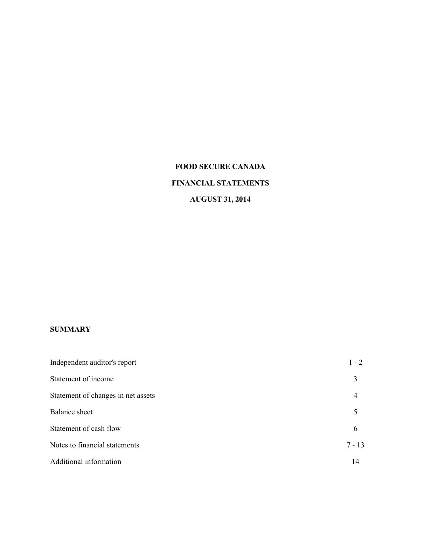# **FOOD SECURE CANADA FINANCIAL STATEMENTS AUGUST 31, 2014**

### **SUMMARY**

| Independent auditor's report       | $1 - 2$  |
|------------------------------------|----------|
| Statement of income                | 3        |
| Statement of changes in net assets | 4        |
| Balance sheet                      | 5        |
| Statement of cash flow             | 6        |
| Notes to financial statements      | $7 - 13$ |
| Additional information             | 14       |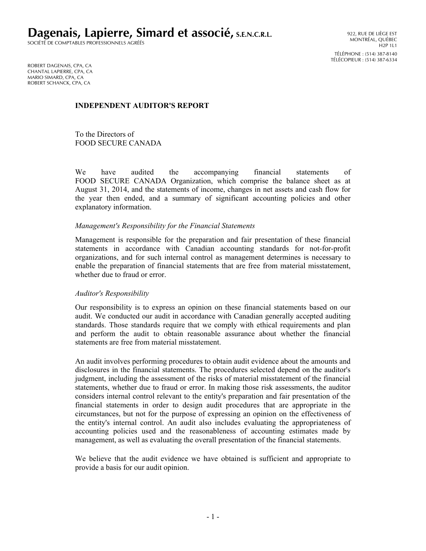**Dagenais, Lapierre, Simard et associé, S.E.N.C.R.L.**

SOCIÉTÉ DE COMPTABLES PROFESSIONNELS AGRÉÉS

ROBERT DAGENAIS, CPA, CA CHANTAL LAPIERRE, CPA, CA MARIO SIMARD, CPA, CA ROBERT SCHANCK, CPA, CA

### **INDEPENDENT AUDITOR'S REPORT**

To the Directors of FOOD SECURE CANADA

We have audited the accompanying financial statements of FOOD SECURE CANADA Organization, which comprise the balance sheet as at August 31, 2014, and the statements of income, changes in net assets and cash flow for the year then ended, and a summary of significant accounting policies and other explanatory information.

### *Management's Responsibility for the Financial Statements*

Management is responsible for the preparation and fair presentation of these financial statements in accordance with Canadian accounting standards for not-for-profit organizations, and for such internal control as management determines is necessary to enable the preparation of financial statements that are free from material misstatement, whether due to fraud or error.

#### *Auditor's Responsibility*

Our responsibility is to express an opinion on these financial statements based on our audit. We conducted our audit in accordance with Canadian generally accepted auditing standards. Those standards require that we comply with ethical requirements and plan and perform the audit to obtain reasonable assurance about whether the financial statements are free from material misstatement.

An audit involves performing procedures to obtain audit evidence about the amounts and disclosures in the financial statements. The procedures selected depend on the auditor's judgment, including the assessment of the risks of material misstatement of the financial statements, whether due to fraud or error. In making those risk assessments, the auditor considers internal control relevant to the entity's preparation and fair presentation of the financial statements in order to design audit procedures that are appropriate in the circumstances, but not for the purpose of expressing an opinion on the effectiveness of the entity's internal control. An audit also includes evaluating the appropriateness of accounting policies used and the reasonableness of accounting estimates made by management, as well as evaluating the overall presentation of the financial statements.

We believe that the audit evidence we have obtained is sufficient and appropriate to provide a basis for our audit opinion.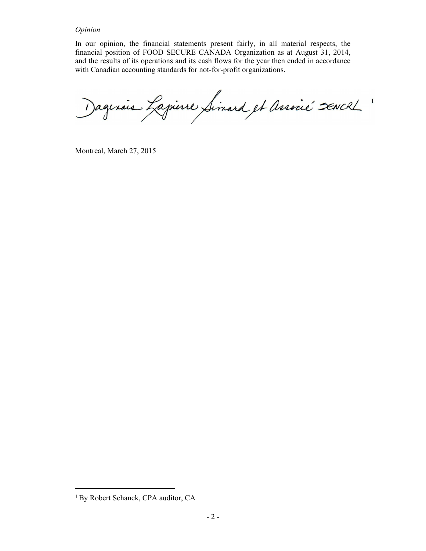#### *Opinion*

In our opinion, the financial statements present fairly, in all material respects, the financial position of FOOD SECURE CANADA Organization as at August 31, 2014, and the results of its operations and its cash flows for the year then ended in accordance with Canadian accounting standards for not-for-profit organizations.

agerais Lapierre Simard et Associé SENCRL

Montreal, March 27, 2015

<sup>&</sup>lt;sup>1</sup> By Robert Schanck, CPA auditor, CA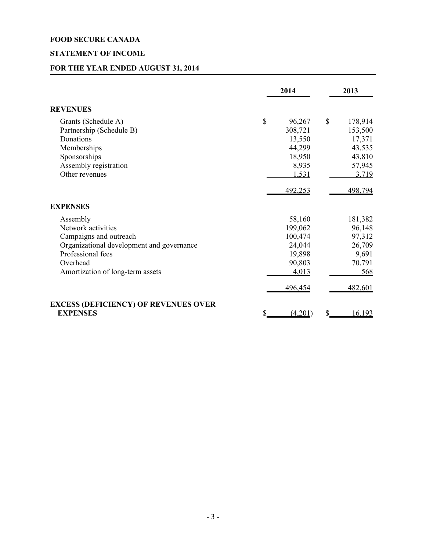# **STATEMENT OF INCOME**

# **FOR THE YEAR ENDED AUGUST 31, 2014**

|                                                                                                                                                                            | 2014                                                                           |                           | 2013                                                                       |
|----------------------------------------------------------------------------------------------------------------------------------------------------------------------------|--------------------------------------------------------------------------------|---------------------------|----------------------------------------------------------------------------|
| <b>REVENUES</b>                                                                                                                                                            |                                                                                |                           |                                                                            |
| Grants (Schedule A)<br>Partnership (Schedule B)<br>Donations<br>Memberships<br>Sponsorships<br>Assembly registration<br>Other revenues                                     | \$<br>96,267<br>308,721<br>13,550<br>44,299<br>18,950<br>8,935<br>1,531        | $\boldsymbol{\mathsf{S}}$ | 178,914<br>153,500<br>17,371<br>43,535<br>43,810<br>57,945<br>3,719        |
|                                                                                                                                                                            | 492,253                                                                        |                           | 498,794                                                                    |
| <b>EXPENSES</b>                                                                                                                                                            |                                                                                |                           |                                                                            |
| Assembly<br>Network activities<br>Campaigns and outreach<br>Organizational development and governance<br>Professional fees<br>Overhead<br>Amortization of long-term assets | 58,160<br>199,062<br>100,474<br>24,044<br>19,898<br>90,803<br>4,013<br>496,454 |                           | 181,382<br>96,148<br>97,312<br>26,709<br>9,691<br>70,791<br>568<br>482,601 |
| <b>EXCESS (DEFICIENCY) OF REVENUES OVER</b><br><b>EXPENSES</b>                                                                                                             | (4,201)                                                                        |                           | 16,193                                                                     |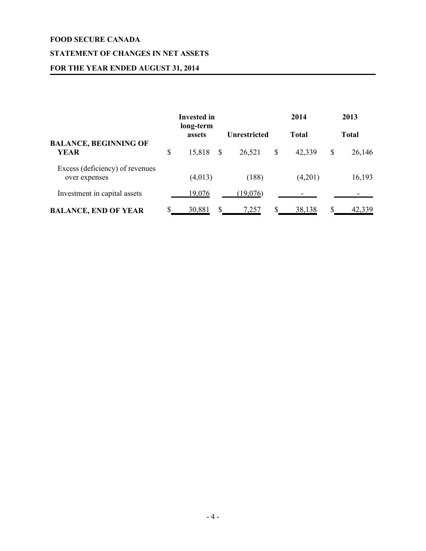# **STATEMENT OF CHANGES IN NET ASSETS**

# **FOR THE YEAR ENDED AUGUST 31, 2014**

|                                                  | Invested in<br>long-term |   |              | 2014                | 2013         |
|--------------------------------------------------|--------------------------|---|--------------|---------------------|--------------|
|                                                  | assets                   |   | Unrestricted | <b>Total</b>        | <b>Total</b> |
| <b>BALANCE, BEGINNING OF</b>                     |                          |   |              |                     |              |
| <b>YEAR</b>                                      | \$<br>15,818             | S | 26,521       | \$<br>42,339        | \$<br>26,146 |
| Excess (deficiency) of revenues<br>over expenses | (4,013)                  |   | (188)        | (4,201)             | 16,193       |
|                                                  |                          |   |              |                     |              |
| Investment in capital assets                     | 19,076                   |   | (19,076)     |                     |              |
| <b>BALANCE, END OF YEAR</b>                      | 30,881                   |   | <u>7,257</u> | \$<br><u>38,138</u> | 42,339       |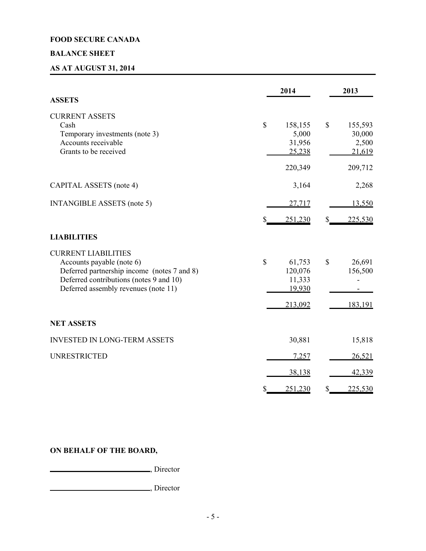# **BALANCE SHEET**

# **AS AT AUGUST 31, 2014**

|                                                                                                                                                                                           | 2014                                                   | 2013                                       |
|-------------------------------------------------------------------------------------------------------------------------------------------------------------------------------------------|--------------------------------------------------------|--------------------------------------------|
| <b>ASSETS</b>                                                                                                                                                                             |                                                        |                                            |
| <b>CURRENT ASSETS</b><br>Cash<br>Temporary investments (note 3)<br>Accounts receivable<br>Grants to be received                                                                           | \$<br>158,155<br>5,000<br>31,956<br>25,238             | \$<br>155,593<br>30,000<br>2,500<br>21,619 |
|                                                                                                                                                                                           | 220,349                                                | 209,712                                    |
| CAPITAL ASSETS (note 4)                                                                                                                                                                   | 3,164                                                  | 2,268                                      |
| <b>INTANGIBLE ASSETS (note 5)</b>                                                                                                                                                         | 27,717                                                 | 13,550                                     |
|                                                                                                                                                                                           | 251,230                                                | 225,530<br>S                               |
| <b>LIABILITIES</b>                                                                                                                                                                        |                                                        |                                            |
| <b>CURRENT LIABILITIES</b><br>Accounts payable (note 6)<br>Deferred partnership income (notes 7 and 8)<br>Deferred contributions (notes 9 and 10)<br>Deferred assembly revenues (note 11) | \$<br>61,753<br>120,076<br>11,333<br>19,930<br>213,092 | \$<br>26,691<br>156,500<br>183,191         |
| <b>NET ASSETS</b>                                                                                                                                                                         |                                                        |                                            |
| <b>INVESTED IN LONG-TERM ASSETS</b>                                                                                                                                                       | 30,881                                                 | 15,818                                     |
| <b>UNRESTRICTED</b>                                                                                                                                                                       | 7,257                                                  | 26,521                                     |
|                                                                                                                                                                                           | 38,138                                                 | 42,339                                     |
|                                                                                                                                                                                           | 251,230                                                | 225,530<br>S                               |

# **ON BEHALF OF THE BOARD,**

**CONSUMER**, Director

, Director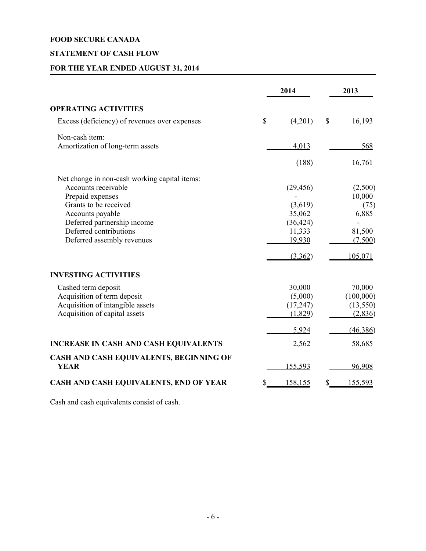# **STATEMENT OF CASH FLOW**

# **FOR THE YEAR ENDED AUGUST 31, 2014**

|                                                        | 2014             | 2013              |
|--------------------------------------------------------|------------------|-------------------|
| <b>OPERATING ACTIVITIES</b>                            |                  |                   |
| Excess (deficiency) of revenues over expenses          | \$<br>(4,201)    | \$<br>16,193      |
| Non-cash item:                                         |                  |                   |
| Amortization of long-term assets                       | 4,013            | 568               |
|                                                        | (188)            | 16,761            |
| Net change in non-cash working capital items:          |                  |                   |
| Accounts receivable                                    | (29, 456)        | (2,500)           |
| Prepaid expenses                                       |                  | 10,000            |
| Grants to be received                                  | (3,619)          | (75)              |
| Accounts payable                                       | 35,062           | 6,885             |
| Deferred partnership income<br>Deferred contributions  | (36, 424)        |                   |
| Deferred assembly revenues                             | 11,333<br>19,930 | 81,500<br>(7,500) |
|                                                        | (3,362)          | 105,071           |
| <b>INVESTING ACTIVITIES</b>                            |                  |                   |
| Cashed term deposit                                    | 30,000           | 70,000            |
| Acquisition of term deposit                            | (5,000)          | (100,000)         |
| Acquisition of intangible assets                       | (17, 247)        | (13, 550)         |
| Acquisition of capital assets                          | (1,829)          | (2,836)           |
|                                                        | 5,924            | (46,386)          |
| <b>INCREASE IN CASH AND CASH EQUIVALENTS</b>           | 2,562            | 58,685            |
| CASH AND CASH EQUIVALENTS, BEGINNING OF<br><b>YEAR</b> | 155,593          | 96,908            |
| CASH AND CASH EQUIVALENTS, END OF YEAR                 | 158,155          | \$<br>155,593     |

Cash and cash equivalents consist of cash.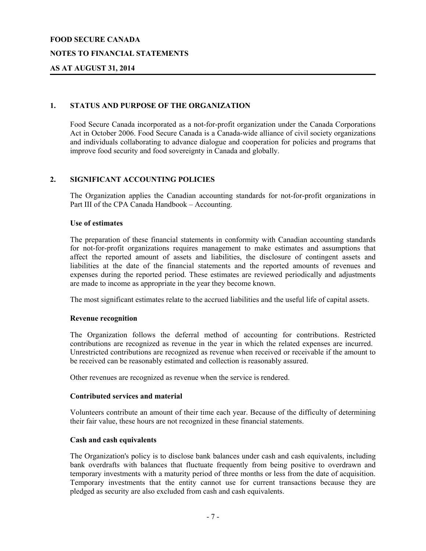### **NOTES TO FINANCIAL STATEMENTS**

### **AS AT AUGUST 31, 2014**

### **1. STATUS AND PURPOSE OF THE ORGANIZATION**

Food Secure Canada incorporated as a not-for-profit organization under the Canada Corporations Act in October 2006. Food Secure Canada is a Canada-wide alliance of civil society organizations and individuals collaborating to advance dialogue and cooperation for policies and programs that improve food security and food sovereignty in Canada and globally.

### **2. SIGNIFICANT ACCOUNTING POLICIES**

The Organization applies the Canadian accounting standards for not-for-profit organizations in Part III of the CPA Canada Handbook – Accounting.

#### **Use of estimates**

The preparation of these financial statements in conformity with Canadian accounting standards for not-for-profit organizations requires management to make estimates and assumptions that affect the reported amount of assets and liabilities, the disclosure of contingent assets and liabilities at the date of the financial statements and the reported amounts of revenues and expenses during the reported period. These estimates are reviewed periodically and adjustments are made to income as appropriate in the year they become known.

The most significant estimates relate to the accrued liabilities and the useful life of capital assets.

#### **Revenue recognition**

The Organization follows the deferral method of accounting for contributions. Restricted contributions are recognized as revenue in the year in which the related expenses are incurred. Unrestricted contributions are recognized as revenue when received or receivable if the amount to be received can be reasonably estimated and collection is reasonably assured.

Other revenues are recognized as revenue when the service is rendered.

#### **Contributed services and material**

Volunteers contribute an amount of their time each year. Because of the difficulty of determining their fair value, these hours are not recognized in these financial statements.

### **Cash and cash equivalents**

The Organization's policy is to disclose bank balances under cash and cash equivalents, including bank overdrafts with balances that fluctuate frequently from being positive to overdrawn and temporary investments with a maturity period of three months or less from the date of acquisition. Temporary investments that the entity cannot use for current transactions because they are pledged as security are also excluded from cash and cash equivalents.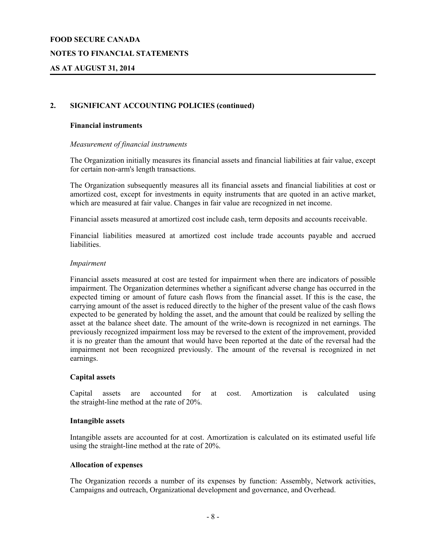### **NOTES TO FINANCIAL STATEMENTS**

### **AS AT AUGUST 31, 2014**

### **2. SIGNIFICANT ACCOUNTING POLICIES (continued)**

#### **Financial instruments**

#### *Measurement of financial instruments*

The Organization initially measures its financial assets and financial liabilities at fair value, except for certain non-arm's length transactions.

The Organization subsequently measures all its financial assets and financial liabilities at cost or amortized cost, except for investments in equity instruments that are quoted in an active market, which are measured at fair value. Changes in fair value are recognized in net income.

Financial assets measured at amortized cost include cash, term deposits and accounts receivable.

Financial liabilities measured at amortized cost include trade accounts payable and accrued liabilities.

#### *Impairment*

Financial assets measured at cost are tested for impairment when there are indicators of possible impairment. The Organization determines whether a significant adverse change has occurred in the expected timing or amount of future cash flows from the financial asset. If this is the case, the carrying amount of the asset is reduced directly to the higher of the present value of the cash flows expected to be generated by holding the asset, and the amount that could be realized by selling the asset at the balance sheet date. The amount of the write-down is recognized in net earnings. The previously recognized impairment loss may be reversed to the extent of the improvement, provided it is no greater than the amount that would have been reported at the date of the reversal had the impairment not been recognized previously. The amount of the reversal is recognized in net earnings.

#### **Capital assets**

Capital assets are accounted for at cost. Amortization is calculated using the straight-line method at the rate of 20%.

#### **Intangible assets**

Intangible assets are accounted for at cost. Amortization is calculated on its estimated useful life using the straight-line method at the rate of 20%.

#### **Allocation of expenses**

The Organization records a number of its expenses by function: Assembly, Network activities, Campaigns and outreach, Organizational development and governance, and Overhead.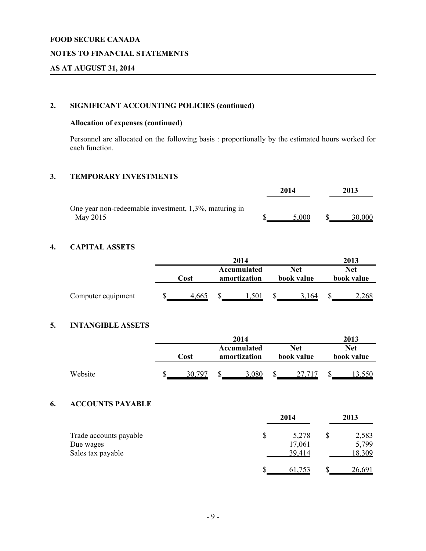### **NOTES TO FINANCIAL STATEMENTS**

### **AS AT AUGUST 31, 2014**

# **2. SIGNIFICANT ACCOUNTING POLICIES (continued)**

# **Allocation of expenses (continued)**

Personnel are allocated on the following basis : proportionally by the estimated hours worked for each function.

### **3. TEMPORARY INVESTMENTS**

|                                                       | 2014  | 2013   |
|-------------------------------------------------------|-------|--------|
| One year non-redeemable investment, 1,3%, maturing in |       |        |
| May 2015                                              | 5 000 | 30.000 |

# **4. CAPITAL ASSETS**

|                    |      | 2014  |                             |       |    | 2013              |                   |
|--------------------|------|-------|-----------------------------|-------|----|-------------------|-------------------|
|                    | Cost |       | Accumulated<br>amortization |       |    | Net<br>book value | Net<br>book value |
| Computer equipment |      | 4,665 |                             | L.501 | ۰D | 3.164             | .268              |

# **5. INTANGIBLE ASSETS**

|         |      |  | 2014                        |       |    |                          | 2013                     |
|---------|------|--|-----------------------------|-------|----|--------------------------|--------------------------|
|         | Cost |  | Accumulated<br>amortization |       |    | <b>Net</b><br>book value | <b>Net</b><br>book value |
| Website |      |  |                             | 3.080 | ۰D |                          |                          |

# **6. ACCOUNTS PAYABLE**

|                        |    | 2013   |  |               |
|------------------------|----|--------|--|---------------|
| Trade accounts payable | \$ | 5,278  |  | 2,583         |
| Due wages              |    | 17,061 |  | 5,799         |
| Sales tax payable      |    | 39,414 |  | 18,309        |
|                        |    | 61,753 |  | <u>26,691</u> |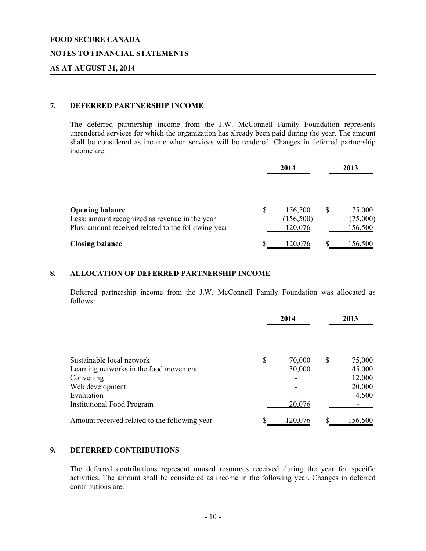### **NOTES TO FINANCIAL STATEMENTS**

### **AS AT AUGUST 31, 2014**

### **7. DEFERRED PARTNERSHIP INCOME**

The deferred partnership income from the J.W. McConnell Family Foundation represents unrendered services for which the organization has already been paid during the year. The amount shall be considered as income when services will be rendered. Changes in deferred partnership income are:

|                                                                                                                                 |   | 2014                            |   | 2013                                 |  |  |
|---------------------------------------------------------------------------------------------------------------------------------|---|---------------------------------|---|--------------------------------------|--|--|
| <b>Opening balance</b><br>Less: amount recognized as revenue in the year<br>Plus: amount received related to the following year | S | 156,500<br>(156,500)<br>120,076 | S | 75,000<br>(75,000)<br><u>156,500</u> |  |  |
| <b>Closing balance</b>                                                                                                          |   | 120,076                         |   | 156,500                              |  |  |

# **8. ALLOCATION OF DEFERRED PARTNERSHIP INCOME**

Deferred partnership income from the J.W. McConnell Family Foundation was allocated as follows:

|                                               | 2014         | 2013 |         |  |
|-----------------------------------------------|--------------|------|---------|--|
|                                               |              |      |         |  |
| Sustainable local network                     | \$<br>70,000 | S    | 75,000  |  |
| Learning networks in the food movement        | 30,000       |      | 45,000  |  |
| Convening                                     |              |      | 12,000  |  |
| Web development                               |              |      | 20,000  |  |
| Evaluation                                    |              |      | 4,500   |  |
| <b>Institutional Food Program</b>             | 20,076       |      |         |  |
| Amount received related to the following year | 120,076      |      | 156,500 |  |

### **9. DEFERRED CONTRIBUTIONS**

The deferred contributions represent unused resources received during the year for specific activities. The amount shall be considered as income in the following year. Changes in deferred contributions are: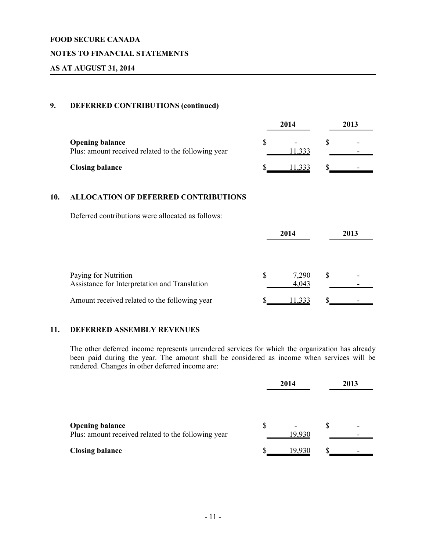### **NOTES TO FINANCIAL STATEMENTS**

### **AS AT AUGUST 31, 2014**

### **9. DEFERRED CONTRIBUTIONS (continued)**

|                                                                               | 2014  | 2013 |
|-------------------------------------------------------------------------------|-------|------|
| <b>Opening balance</b><br>Plus: amount received related to the following year | 1,333 | -    |
| <b>Closing balance</b>                                                        |       |      |

### **10. ALLOCATION OF DEFERRED CONTRIBUTIONS**

Deferred contributions were allocated as follows:

|                                                                       | 2014 |                | 2013 |  |
|-----------------------------------------------------------------------|------|----------------|------|--|
| Paying for Nutrition<br>Assistance for Interpretation and Translation | S    | 7,290<br>4,043 |      |  |
| Amount received related to the following year                         |      | 11,333         |      |  |

### **11. DEFERRED ASSEMBLY REVENUES**

The other deferred income represents unrendered services for which the organization has already been paid during the year. The amount shall be considered as income when services will be rendered. Changes in other deferred income are:

|                                                     | 2014 |        | 2013 |  |
|-----------------------------------------------------|------|--------|------|--|
|                                                     |      |        |      |  |
|                                                     |      |        |      |  |
| <b>Opening balance</b>                              | \$   |        | \$   |  |
| Plus: amount received related to the following year |      | 19,930 |      |  |
| <b>Closing balance</b>                              |      | 19 930 |      |  |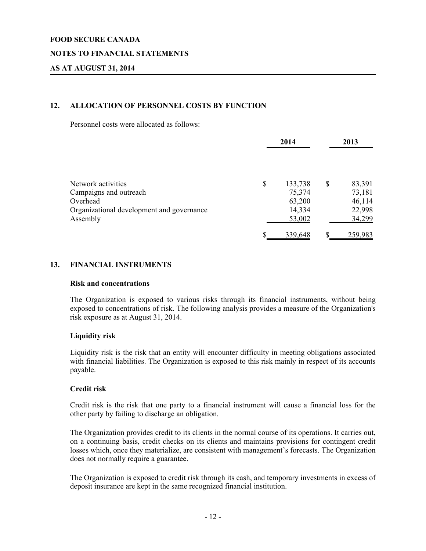### **NOTES TO FINANCIAL STATEMENTS**

### **AS AT AUGUST 31, 2014**

### **12. ALLOCATION OF PERSONNEL COSTS BY FUNCTION**

Personnel costs were allocated as follows:

|                                           | 2014 |         | 2013         |  |
|-------------------------------------------|------|---------|--------------|--|
| Network activities                        | \$   | 133,738 | \$<br>83,391 |  |
| Campaigns and outreach                    |      | 75,374  | 73,181       |  |
| Overhead                                  |      | 63,200  | 46,114       |  |
| Organizational development and governance |      | 14,334  | 22,998       |  |
| Assembly                                  |      | 53,002  | 34,299       |  |
|                                           | S    | 339,648 | 259,983      |  |

### **13. FINANCIAL INSTRUMENTS**

#### **Risk and concentrations**

The Organization is exposed to various risks through its financial instruments, without being exposed to concentrations of risk. The following analysis provides a measure of the Organization's risk exposure as at August 31, 2014.

#### **Liquidity risk**

Liquidity risk is the risk that an entity will encounter difficulty in meeting obligations associated with financial liabilities. The Organization is exposed to this risk mainly in respect of its accounts payable.

### **Credit risk**

Credit risk is the risk that one party to a financial instrument will cause a financial loss for the other party by failing to discharge an obligation.

The Organization provides credit to its clients in the normal course of its operations. It carries out, on a continuing basis, credit checks on its clients and maintains provisions for contingent credit losses which, once they materialize, are consistent with management's forecasts. The Organization does not normally require a guarantee.

The Organization is exposed to credit risk through its cash, and temporary investments in excess of deposit insurance are kept in the same recognized financial institution.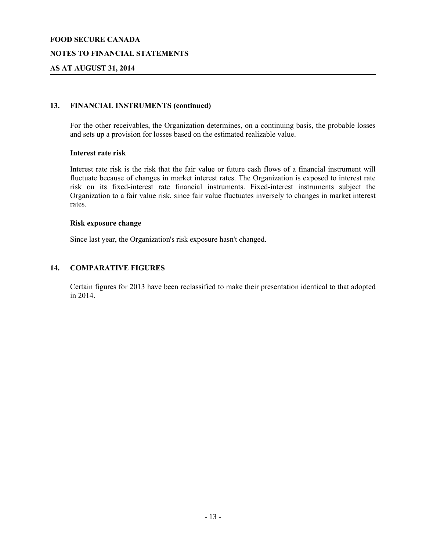### **NOTES TO FINANCIAL STATEMENTS**

### **AS AT AUGUST 31, 2014**

### **13. FINANCIAL INSTRUMENTS (continued)**

For the other receivables, the Organization determines, on a continuing basis, the probable losses and sets up a provision for losses based on the estimated realizable value.

#### **Interest rate risk**

Interest rate risk is the risk that the fair value or future cash flows of a financial instrument will fluctuate because of changes in market interest rates. The Organization is exposed to interest rate risk on its fixed-interest rate financial instruments. Fixed-interest instruments subject the Organization to a fair value risk, since fair value fluctuates inversely to changes in market interest rates.

#### **Risk exposure change**

Since last year, the Organization's risk exposure hasn't changed.

### **14. COMPARATIVE FIGURES**

Certain figures for 2013 have been reclassified to make their presentation identical to that adopted in 2014.